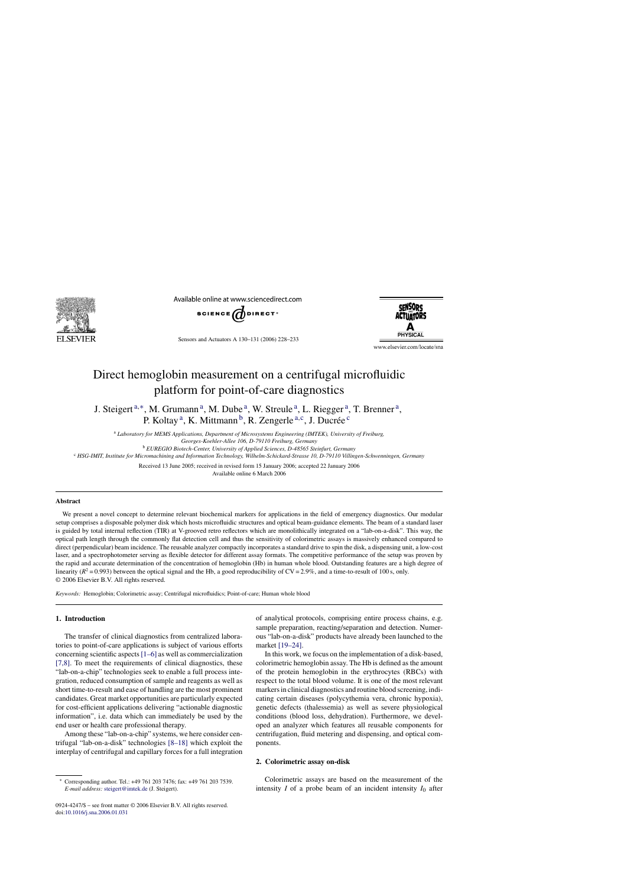

Available online at www.sciencedirect.com



Sensors and Actuators A 130–131 (2006) 228–233

**SENSORS ACTILATORS** 

www.elsevier.com/locate/sna

# Direct hemoglobin measurement on a centrifugal microfluidic platform for point-of-care diagnostics

J. Steigert <sup>a</sup>*,*∗, M. Grumann a, M. Dube a, W. Streule a, L. Riegger a, T. Brenner a, P. Koltay<sup>a</sup>, K. Mittmann<sup>b</sup>, R. Zengerle<sup>a,c</sup>, J. Ducrée<sup>c</sup>

<sup>a</sup> *Laboratory for MEMS Applications, Department of Microsystems Engineering (IMTEK), University of Freiburg,*

*Georges-Koehler-Allee 106, D-79110 Freiburg, Germany*

<sup>b</sup> *EUREGIO Biotech-Center, University of Applied Sciences, D-48565 Steinfurt, Germany*

<sup>c</sup> *HSG-IMIT, Institute for Micromachining and Information Technology, Wilhelm-Schickard-Strasse 10, D-79110 Villingen-Schwenningen, Germany*

Received 13 June 2005; received in revised form 15 January 2006; accepted 22 January 2006 Available online 6 March 2006

### **Abstract**

We present a novel concept to determine relevant biochemical markers for applications in the field of emergency diagnostics. Our modular setup comprises a disposable polymer disk which hosts microfluidic structures and optical beam-guidance elements. The beam of a standard laser is guided by total internal reflection (TIR) at V-grooved retro reflectors which are monolithically integrated on a "lab-on-a-disk". This way, the optical path length through the commonly flat detection cell and thus the sensitivity of colorimetric assays is massively enhanced compared to direct (perpendicular) beam incidence. The reusable analyzer compactly incorporates a standard drive to spin the disk, a dispensing unit, a low-cost laser, and a spectrophotometer serving as flexible detector for different assay formats. The competitive performance of the setup was proven by the rapid and accurate determination of the concentration of hemoglobin (Hb) in human whole blood. Outstanding features are a high degree of linearity ( $R^2$  = 0.993) between the optical signal and the Hb, a good reproducibility of  $CV = 2.9\%$ , and a time-to-result of 100 s, only. © 2006 Elsevier B.V. All rights reserved.

*Keywords:* Hemoglobin; Colorimetric assay; Centrifugal microfluidics; Point-of-care; Human whole blood

## **1. Introduction**

The transfer of clinical diagnostics from centralized laboratories to point-of-care applications is subject of various efforts concerning scientific aspects[\[1–6\]](#page-3-0) as well as commercialization [\[7,8\].](#page-3-0) To meet the requirements of clinical diagnostics, these "lab-on-a-chip" technologies seek to enable a full process integration, reduced consumption of sample and reagents as well as short time-to-result and ease of handling are the most prominent candidates. Great market opportunities are particularly expected for cost-efficient applications delivering "actionable diagnostic information", i.e. data which can immediately be used by the end user or health care professional therapy.

Among these "lab-on-a-chip" systems, we here consider centrifugal "lab-on-a-disk" technologies [\[8–18\]](#page-3-0) which exploit the interplay of centrifugal and capillary forces for a full integration

0924-4247/\$ – see front matter © 2006 Elsevier B.V. All rights reserved. doi[:10.1016/j.sna.2006.01.031](dx.doi.org/10.1016/j.sna.2006.01.031)

of analytical protocols, comprising entire process chains, e.g. sample preparation, reacting/separation and detection. Numerous "lab-on-a-disk" products have already been launched to the market [\[19–24\].](#page-4-0)

In this work, we focus on the implementation of a disk-based, colorimetric hemoglobin assay. The Hb is defined as the amount of the protein hemoglobin in the erythrocytes (RBCs) with respect to the total blood volume. It is one of the most relevant markers in clinical diagnostics and routine blood screening, indicating certain diseases (polycythemia vera, chronic hypoxia), genetic defects (thalessemia) as well as severe physiological conditions (blood loss, dehydration). Furthermore, we developed an analyzer which features all reusable components for centrifugation, fluid metering and dispensing, and optical components.

#### **2. Colorimetric assay on-disk**

Colorimetric assays are based on the measurement of the intensity  $I$  of a probe beam of an incident intensity  $I_0$  after

<sup>∗</sup> Corresponding author. Tel.: +49 761 203 7476; fax: +49 761 203 7539. *E-mail address:* [steigert@imtek.de](mailto:steigert@imtek.de) (J. Steigert).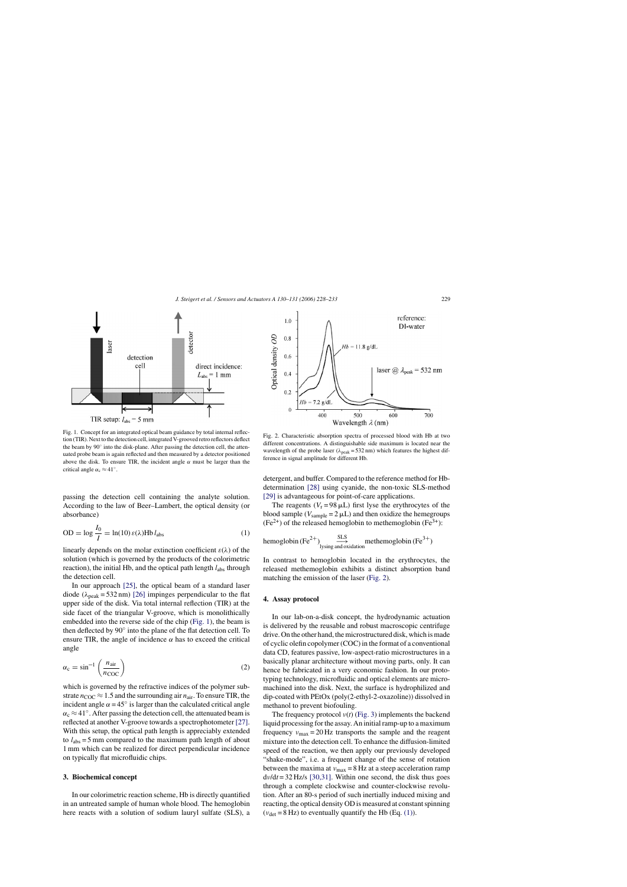<span id="page-1-0"></span>

Fig. 1. Concept for an integrated optical beam guidance by total internal reflection (TIR). Next to the detection cell, integrated V-grooved retro reflectors deflect the beam by 90◦ into the disk-plane. After passing the detection cell, the attenuated probe beam is again reflected and then measured by a detector positioned above the disk. To ensure TIR, the incident angle  $\alpha$  must be larger than the critical angle  $\alpha_c \approx 41^\circ$ .

passing the detection cell containing the analyte solution. According to the law of Beer–Lambert, the optical density (or absorbance)

$$
OD = \log \frac{I_0}{I} = \ln(10) \varepsilon(\lambda) Hb \, l_{\text{abs}} \tag{1}
$$

linearly depends on the molar extinction coefficient  $\varepsilon(\lambda)$  of the solution (which is governed by the products of the colorimetric reaction), the initial Hb, and the optical path length *l*abs through the detection cell.

In our approach [\[25\],](#page-4-0) the optical beam of a standard laser diode  $(\lambda_{\text{peak}} = 532 \text{ nm})$  [\[26\]](#page-4-0) impinges perpendicular to the flat upper side of the disk. Via total internal reflection (TIR) at the side facet of the triangular V-groove, which is monolithically embedded into the reverse side of the chip (Fig. 1), the beam is then deflected by 90◦ into the plane of the flat detection cell. To ensure TIR, the angle of incidence  $\alpha$  has to exceed the critical angle

$$
\alpha_{\rm c} = \sin^{-1}\left(\frac{n_{\rm air}}{n_{\rm COC}}\right) \tag{2}
$$

which is governed by the refractive indices of the polymer substrate  $n_{\rm COC} \approx 1.5$  and the surrounding air  $n_{\rm air}$ . To ensure TIR, the incident angle  $\alpha = 45^\circ$  is larger than the calculated critical angle  $\alpha_c \approx 41^\circ$ . After passing the detection cell, the attenuated beam is reflected at another V-groove towards a spectrophotometer [\[27\].](#page-4-0) With this setup, the optical path length is appreciably extended to  $l_{\text{abs}} = 5$  mm compared to the maximum path length of about 1 mm which can be realized for direct perpendicular incidence on typically flat microfluidic chips.

## **3. Biochemical concept**

In our colorimetric reaction scheme, Hb is directly quantified in an untreated sample of human whole blood. The hemoglobin here reacts with a solution of sodium lauryl sulfate (SLS), a



Fig. 2. Characteristic absorption spectra of processed blood with Hb at two different concentrations. A distinguishable side maximum is located near the wavelength of the probe laser ( $\lambda_{peak}$  = 532 nm) which features the highest difference in signal amplitude for different Hb.

detergent, and buffer. Compared to the reference method for Hbdetermination [\[28\]](#page-4-0) using cyanide, the non-toxic SLS-method [\[29\]](#page-4-0) is advantageous for point-of-care applications.

The reagents ( $V_r = 98 \mu L$ ) first lyse the erythrocytes of the blood sample ( $V_{\text{sample}} = 2 \mu L$ ) and then oxidize the hemegroups  $(Fe<sup>2+</sup>)$  of the released hemoglobin to methemoglobin  $(Fe<sup>3+</sup>)$ :

hemoglobin (Fe2+) SLS −→ lysing and oxidationmethemoglobin (Fe<sup>3</sup>+)

In contrast to hemoglobin located in the erythrocytes, the released methemoglobin exhibits a distinct absorption band matching the emission of the laser (Fig. 2).

# **4. Assay protocol**

In our lab-on-a-disk concept, the hydrodynamic actuation is delivered by the reusable and robust macroscopic centrifuge drive. On the other hand, the microstructured disk, which is made of cyclic olefin copolymer (COC) in the format of a conventional data CD, features passive, low-aspect-ratio microstructures in a basically planar architecture without moving parts, only. It can hence be fabricated in a very economic fashion. In our prototyping technology, microfluidic and optical elements are micromachined into the disk. Next, the surface is hydrophilized and dip-coated with PEtOx (poly(2-ethyl-2-oxazoline)) dissolved in methanol to prevent biofouling.

The frequency protocol *ν*(*t*) [\(Fig. 3\)](#page-2-0) implements the backend liquid processing for the assay. An initial ramp-up to a maximum frequency  $v_{\text{max}} = 20 \text{ Hz}$  transports the sample and the reagent mixture into the detection cell. To enhance the diffusion-limited speed of the reaction, we then apply our previously developed "shake-mode", i.e. a frequent change of the sense of rotation between the maxima at  $v_{\text{max}} = 8$  Hz at a steep acceleration ramp d*ν*/d*t* = 32 Hz/s [\[30,31\].](#page-4-0) Within one second, the disk thus goes through a complete clockwise and counter-clockwise revolution. After an 80-s period of such inertially induced mixing and reacting, the optical density OD is measured at constant spinning  $(v_{\text{det}} = 8 \text{ Hz})$  to eventually quantify the Hb (Eq. (1)).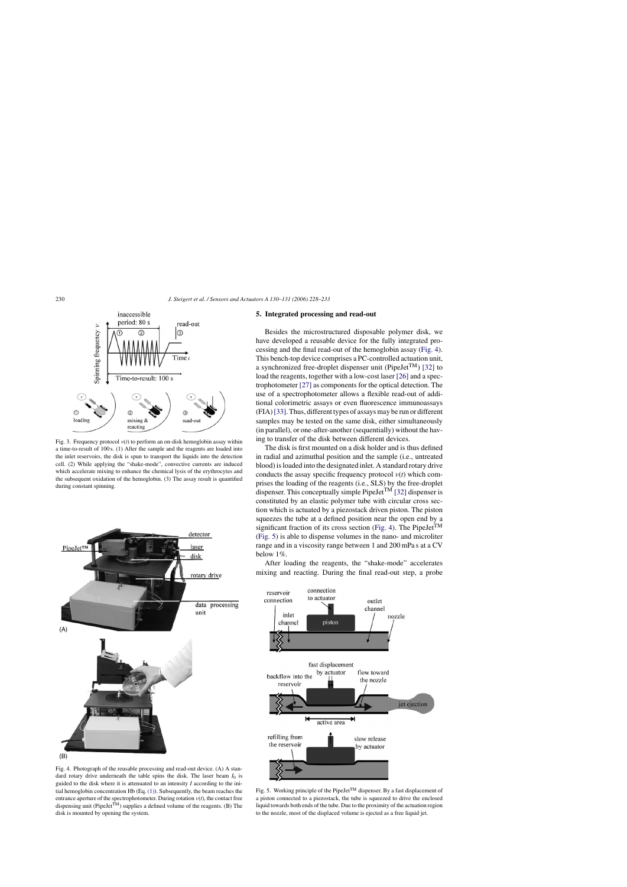<span id="page-2-0"></span>

Fig. 3. Frequency protocol *ν*(*t*) to perform an on-disk hemoglobin assay within a time-to-result of 100 s. (1) After the sample and the reagents are loaded into the inlet reservoirs, the disk is spun to transport the liquids into the detection cell. (2) While applying the "shake-mode", convective currents are induced which accelerate mixing to enhance the chemical lysis of the erythrocytes and the subsequent oxidation of the hemoglobin. (3) The assay result is quantified during constant spinning.



Fig. 4. Photograph of the reusable processing and read-out device. (A) A standard rotary drive underneath the table spins the disk. The laser beam  $I_0$  is guided to the disk where it is attenuated to an intensity *I* according to the initial hemoglobin concentration Hb (Eq. [\(1\)\).](#page-1-0) Subsequently, the beam reaches the entrance aperture of the spectrophotometer. During rotation  $v(t)$ , the contact free dispensing unit (PipeJet<sup>TM</sup>) supplies a defined volume of the reagents. (B) The disk is mounted by opening the system.

#### **5. Integrated processing and read-out**

Besides the microstructured disposable polymer disk, we have developed a reusable device for the fully integrated processing and the final read-out of the hemoglobin assay (Fig. 4). This bench-top device comprises a PC-controlled actuation unit, a synchronized free-droplet dispenser unit (PipeJet<sup>TM</sup>) [\[32\]](#page-4-0) to load the reagents, together with a low-cost laser [\[26\]](#page-4-0) and a spectrophotometer [\[27\]](#page-4-0) as components for the optical detection. The use of a spectrophotometer allows a flexible read-out of additional colorimetric assays or even fluorescence immunoassays (FIA)[\[33\]. T](#page-4-0)hus, different types of assays may be run or different samples may be tested on the same disk, either simultaneously (in parallel), or one-after-another (sequentially) without the having to transfer of the disk between different devices.

The disk is first mounted on a disk holder and is thus defined in radial and azimuthal position and the sample (i.e., untreated blood) is loaded into the designated inlet. A standard rotary drive conducts the assay specific frequency protocol *ν*(*t*) which comprises the loading of the reagents (i.e., SLS) by the free-droplet dispenser. This conceptually simple PipeJet<sup>TM</sup> [\[32\]](#page-4-0) dispenser is constituted by an elastic polymer tube with circular cross section which is actuated by a piezostack driven piston. The piston squeezes the tube at a defined position near the open end by a significant fraction of its cross section (Fig. 4). The PipeJet<sup>TM</sup> (Fig. 5) is able to dispense volumes in the nano- and microliter range and in a viscosity range between 1 and 200 mPa s at a CV below 1%.

After loading the reagents, the "shake-mode" accelerates mixing and reacting. During the final read-out step, a probe



Fig. 5. Working principle of the PipeJet<sup>TM</sup> dispenser. By a fast displacement of a piston connected to a piezostack, the tube is squeezed to drive the enclosed liquid towards both ends of the tube. Due to the proximity of the actuation region to the nozzle, most of the displaced volume is ejected as a free liquid jet.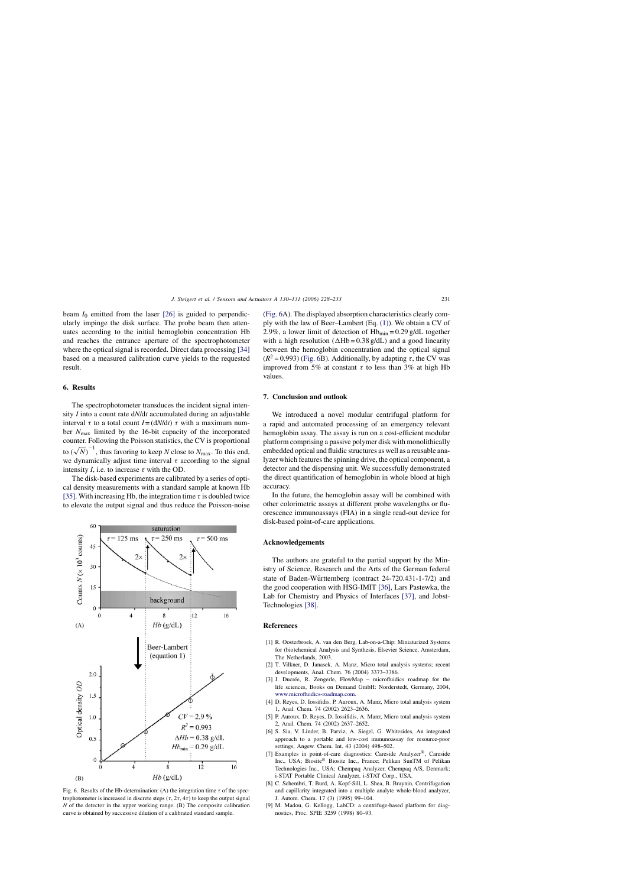<span id="page-3-0"></span>beam  $I_0$  emitted from the laser  $[26]$  is guided to perpendicularly impinge the disk surface. The probe beam then attenuates according to the initial hemoglobin concentration Hb and reaches the entrance aperture of the spectrophotometer where the optical signal is recorded. Direct data processing [\[34\]](#page-4-0) based on a measured calibration curve yields to the requested result.

#### **6. Results**

The spectrophotometer transduces the incident signal intensity *I* into a count rate d*N*/d*t* accumulated during an adjustable interval *τ* to a total count  $I = (dN/dt)$  *τ* with a maximum number *N*max limited by the 16-bit capacity of the incorporated counter. Following the Poisson statistics, the CV is proportional to  $(\sqrt{N})^{-1}$ , thus favoring to keep *N* close to  $N_{\text{max}}$ . To this end, we dynamically adjust time interval  $\tau$  according to the signal intensity *I*, i.e. to increase  $\tau$  with the OD.

The disk-based experiments are calibrated by a series of optical density measurements with a standard sample at known Hb [\[35\]. W](#page-4-0)ith increasing Hb, the integration time  $\tau$  is doubled twice to elevate the output signal and thus reduce the Poisson-noise



Fig. 6. Results of the Hb-determination: (A) the integration time  $\tau$  of the spectrophotometer is increased in discrete steps  $(\tau, 2\tau, 4\tau)$  to keep the output signal *N* of the detector in the upper working range. (B) The composite calibration curve is obtained by successive dilution of a calibrated standard sample.

(Fig. 6A). The displayed absorption characteristics clearly comply with the law of Beer–Lambert (Eq. [\(1\)\).](#page-1-0) We obtain a CV of 2.9%, a lower limit of detection of  $Hb_{\text{min}} = 0.29$  g/dL together with a high resolution ( $\triangle Hb = 0.38$  g/dL) and a good linearity between the hemoglobin concentration and the optical signal  $(R^2 = 0.993)$  (Fig. 6B). Additionally, by adapting  $\tau$ , the CV was improved from 5% at constant *τ* to less than 3% at high Hb values.

# **7. Conclusion and outlook**

We introduced a novel modular centrifugal platform for a rapid and automated processing of an emergency relevant hemoglobin assay. The assay is run on a cost-efficient modular platform comprising a passive polymer disk with monolithically embedded optical and fluidic structures as well as a reusable analyzer which features the spinning drive, the optical component, a detector and the dispensing unit. We successfully demonstrated the direct quantification of hemoglobin in whole blood at high accuracy.

In the future, the hemoglobin assay will be combined with other colorimetric assays at different probe wavelengths or fluorescence immunoassays (FIA) in a single read-out device for disk-based point-of-care applications.

### **Acknowledgements**

The authors are grateful to the partial support by the Ministry of Science, Research and the Arts of the German federal state of Baden-Württemberg (contract  $24-720.431-1-7/2$ ) and the good cooperation with HSG-IMIT [\[36\], L](#page-4-0)ars Pastewka, the Lab for Chemistry and Physics of Interfaces [\[37\],](#page-4-0) and Jobst-Technologies [\[38\].](#page-4-0)

#### **References**

- [1] R. Oosterbroek, A. van den Berg, Lab-on-a-Chip: Miniaturized Systems for (bio)chemical Analysis and Synthesis, Elsevier Science, Amsterdam, The Netherlands, 2003.
- [2] T. Vilkner, D. Janasek, A. Manz, Micro total analysis systems; recent developments, Anal. Chem. 76 (2004) 3373–3386.
- [3] J. Ducrée, R. Zengerle, FlowMap microfluidics roadmap for the life sciences, Books on Demand GmbH: Norderstedt, Germany, 2004, [www.microfluidics-roadmap.com.](http://www.microfluidics-roadmap.com/)
- [4] D. Reyes, D. Iossifidis, P. Auroux, A. Manz, Micro total analysis system 1, Anal. Chem. 74 (2002) 2623–2636.
- [5] P. Auroux, D. Reyes, D. Iossifidis, A. Manz, Micro total analysis system 2, Anal. Chem. 74 (2002) 2637–2652.
- [6] S. Sia, V. Linder, B. Parviz, A. Siegel, G. Whitesides, An integrated approach to a portable and low-cost immunoassay for resource-poor settings, Angew. Chem. Int. 43 (2004) 498–502.
- [7] Examples in point-of-care diagnostics: Careside Analyzer®, Careside Inc., USA; Biosite® Biosite Inc., France; Pelikan SunTM of Pelikan Technologies Inc., USA; Chempaq Analyzer, Chempaq A/S, Denmark; i-STAT Portable Clinical Analyzer, i-STAT Corp., USA.
- [8] C. Schembri, T. Burd, A. Kopf-Sill, L. Shea, B. Braynin, Centrifugation and capillarity integrated into a multiple analyte whole-blood analyzer, J. Autom. Chem. 17 (3) (1995) 99–104.
- [9] M. Madou, G. Kellogg, LabCD: a centrifuge-based platform for diagnostics, Proc. SPIE 3259 (1998) 80–93.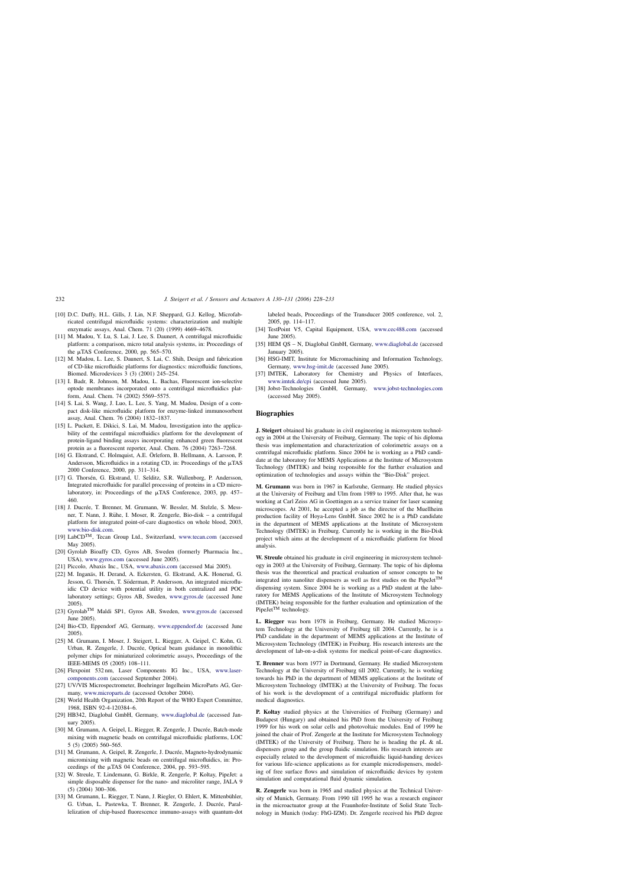- <span id="page-4-0"></span>[10] D.C. Duffy, H.L. Gills, J. Lin, N.F. Sheppard, G.J. Kellog, Microfabricated centrifugal microfluidic systems: characterization and multiple enzymatic assays, Anal. Chem. 71 (20) (1999) 4669–4678.
- [11] M. Madou, Y. Lu, S. Lai, J. Lee, S. Daunert, A centrifugal microfluidic platform: a comparison, micro total analysis systems, in: Proceedings of the  $\mu$ TAS Conference, 2000, pp. 565–570.
- [12] M. Madou, L. Lee, S. Daunert, S. Lai, C. Shih, Design and fabrication of CD-like microfluidic platforms for diagnostics: microfluidic functions, Biomed. Microdevices 3 (3) (2001) 245–254.
- [13] I. Badr, R. Johnson, M. Madou, L. Bachas, Fluorescent ion-selective optode membranes incorporated onto a centrifugal microfluidics platform, Anal. Chem. 74 (2002) 5569–5575.
- [14] S. Lai, S. Wang, J. Luo, L. Lee, S. Yang, M. Madou, Design of a compact disk-like microfluidic platform for enzyme-linked immunosorbent assay, Anal. Chem. 76 (2004) 1832–1837.
- [15] L. Puckett, E. Dikici, S. Lai, M. Madou, Investigation into the applicability of the centrifugal microfluidics platform for the development of protein-ligand binding assays incorporating enhanced green fluorescent protein as a fluorescent reporter, Anal. Chem. 76 (2004) 7263–7268.
- [16] G. Ekstrand, C. Holmquist, A.E. Örleforn, B. Hellmann, A. Larsson, P. Andersson, Microfluidics in a rotating CD, in: Proceedings of the  $\mu$ TAS 2000 Conference, 2000, pp. 311–314.
- [17] G. Thorsén, G. Ekstrand, U. Selditz, S.R. Wallenborg, P. Andersson, Integrated microfluidic for parallel processing of proteins in a CD microlaboratory, in: Proceedings of the  $\mu$ TAS Conference, 2003, pp. 457– 460.
- [18] J. Ducrée, T. Brenner, M. Grumann, W. Bessler, M. Stelzle, S. Messner, T. Nann, J. Rühe, I. Moser, R. Zengerle, Bio-disk – a centrifugal platform for integrated point-of-care diagnostics on whole blood, 2003, [www.bio-disk.com](http://www.bio-disk.com/).
- [19] LabCD<sup>TM</sup>, Tecan Group Ltd., Switzerland, [www.tecan.com](http://www.tecan.com/) (accessed May 2005).
- [20] Gyrolab Bioaffy CD, Gyros AB, Sweden (formerly Pharmacia Inc., USA), [www.gyros.com](http://www.gyros.com/) (accessed June 2005).
- [21] Piccolo, Abaxis Inc., USA, [www.abaxis.com](http://www.abaxis.com/) (accessed Mai 2005).
- [22] M. Inganäs, H. Derand, A. Eckersten, G. Ekstrand, A.K. Honerud, G. Jesson, G. Thorsén, T. Söderman, P. Andersson, An integrated microfluidic CD device with potential utility in both centralized and POC laboratory settings; Gyros AB, Sweden, [www.gyros.de](http://www.gyros.de/) (accessed June 2005).
- [23] GyrolabTM Maldi SP1, Gyros AB, Sweden, [www.gyros.de](http://www.gyros.de/) (accessed June 2005).
- [24] Bio-CD, Eppendorf AG, Germany, [www.eppendorf.de](http://www.eppendorf.de/) (accessed June 2005).
- [25] M. Grumann, I. Moser, J. Steigert, L. Riegger, A. Geipel, C. Kohn, G. Urban, R. Zengerle, J. Ducrée, Optical beam guidance in monolithic polymer chips for miniaturized colorimetric assays, Proceedings of the IEEE-MEMS 05 (2005) 108–111.
- [26] Flexpoint 532 nm, Laser Components IG Inc., USA, www.lasercomponents.com (accessed September 2004).
- [27] UV/VIS Microspectrometer, Boehringer Ingelheim MicroParts AG, Germany, [www.microparts.de](http://www.microparts.de/) (accessed October 2004).
- [28] World Health Organization, 20th Report of the WHO Expert Committee, 1968, ISBN 92-4-120384–6.
- [29] HB342, Diaglobal GmbH, Germany, [www.diaglobal.de](http://www.diaglobal.de/) (accessed January 2005).
- [30] M. Grumann, A. Geipel, L. Riegger, R. Zengerle, J. Ducrée, Batch-mode mixing with magnetic beads on centrifugal microfluidic platforms, LOC 5 (5) (2005) 560–565.
- [31] M. Grumann, A. Geipel, R. Zengerle, J. Ducrée, Magneto-hydrodynamic micromixing with magnetic beads on centrifugal microfluidics, in: Proceedings of the  $\mu$ TAS 04 Conference, 2004, pp. 593–595.
- [32] W. Streule, T. Lindemann, G. Birkle, R. Zengerle, P. Koltay, PipeJet: a simple disposable dispenser for the nano- and microliter range, JALA 9 (5) (2004) 300–306.
- [33] M. Grumann, L. Riegger, T. Nann, J. Riegler, O. Ehlert, K. Mittenbühler, G. Urban, L. Pastewka, T. Brenner, R. Zengerle, J. Ducrée, Parallelization of chip-based fluorescence immuno-assays with quantum-dot

labeled beads, Proceedings of the Transducer 2005 conference, vol. 2, 2005, pp. 114–117.

- [34] TestPoint V5, Capital Equipment, USA, [www.cec488.com](http://www.cec488.com/) (accessed June 2005).
- [35] HEM QS N, Diaglobal GmbH, Germany, [www.diaglobal.de](http://www.diaglobal.de/) (accessed January 2005).
- [36] HSG-IMIT, Institute for Micromachining and Information Technology, Germany, [www.hsg-imit.de](http://www.hsg-imit.de/) (accessed June 2005).
- [37] IMTEK, Laboratory for Chemistry and Physics of Interfaces, [www.imtek.de/cpi](http://www.imtek.de/cpi) (accessed June 2005).
- [38] Jobst-Technologies GmbH, Germany, [www.jobst-technologies.com](http://www.jobst-technologies.com/) (accessed May 2005).

#### **Biographies**

**J. Steigert** obtained his graduate in civil engineering in microsystem technology in 2004 at the University of Freiburg, Germany. The topic of his diploma thesis was implementation and characterization of colorimetric assays on a centrifugal microfluidic platform. Since 2004 he is working as a PhD candidate at the laboratory for MEMS Applications at the Institute of Microsystem Technology (IMTEK) and being responsible for the further evaluation and optimization of technologies and assays within the "Bio-Disk" project.

**M. Grumann** was born in 1967 in Karlsruhe, Germany. He studied physics at the University of Freiburg and Ulm from 1989 to 1995. After that, he was working at Carl Zeiss AG in Goettingen as a service trainer for laser scanning microscopes. At 2001, he accepted a job as the director of the Muellheim production facility of Hoya-Lens GmbH. Since 2002 he is a PhD candidate in the department of MEMS applications at the Institute of Microsystem Technology (IMTEK) in Freiburg. Currently he is working in the Bio-Disk project which aims at the development of a microfluidic platform for blood analysis.

W. Streule obtained his graduate in civil engineering in microsystem technology in 2003 at the University of Freiburg, Germany. The topic of his diploma thesis was the theoretical and practical evaluation of sensor concepts to be integrated into nanoliter dispensers as well as first studies on the PipeJet<sup>TM</sup> dispensing system. Since 2004 he is working as a PhD student at the laboratory for MEMS Applications of the Institute of Microsystem Technology (IMTEK) being responsible for the further evaluation and optimization of the PipeJet<sup>TM</sup> technology.

**L. Riegger** was born 1978 in Freiburg, Germany. He studied Microsystem Technology at the University of Freiburg till 2004. Currently, he is a PhD candidate in the department of MEMS applications at the Institute of Microsystem Technology (IMTEK) in Freiburg. His research interests are the development of lab-on-a-disk systems for medical point-of-care diagnostics.

**T. Brenner** was born 1977 in Dortmund, Germany. He studied Microsystem [Technology](http://www.laser-components.com/) at the University of Freiburg till 2002. Currently, he is working towards his PhD in the department of MEMS applications at the Institute of Microsystem Technology (IMTEK) at the University of Freiburg. The focus of his work is the development of a centrifugal microfluidic platform for medical diagnostics.

**P. Koltay** studied physics at the Universities of Freiburg (Germany) and Budapest (Hungary) and obtained his PhD from the University of Freiburg 1999 for his work on solar cells and photovoltaic modules. End of 1999 he joined the chair of Prof. Zengerle at the Institute for Microsystem Technology (IMTEK) of the University of Freiburg. There he is heading the pL & nL dispensers group and the group fluidic simulation. His research interests are especially related to the development of microfluidic liquid-handing devices for various life-science applications as for example microdispensers, modeling of free surface flows and simulation of microfluidic devices by system simulation and computational fluid dynamic simulation.

**R. Zengerle** was born in 1965 and studied physics at the Technical University of Munich, Germany. From 1990 till 1995 he was a research engineer in the microactuator group at the Fraunhofer-Institute of Solid State Technology in Munich (today: FhG-IZM). Dr. Zengerle received his PhD degree